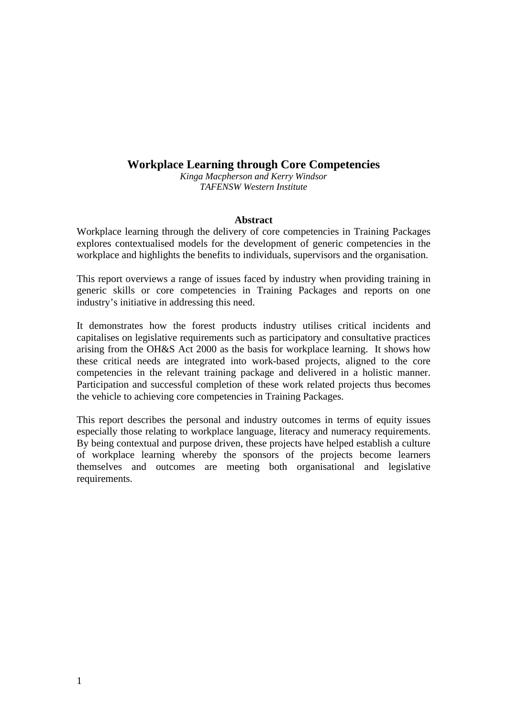# **Workplace Learning through Core Competencies**

*Kinga Macpherson and Kerry Windsor TAFENSW Western Institute*

#### **Abstract**

Workplace learning through the delivery of core competencies in Training Packages explores contextualised models for the development of generic competencies in the workplace and highlights the benefits to individuals, supervisors and the organisation.

This report overviews a range of issues faced by industry when providing training in generic skills or core competencies in Training Packages and reports on one industry's initiative in addressing this need.

It demonstrates how the forest products industry utilises critical incidents and capitalises on legislative requirements such as participatory and consultative practices arising from the OH&S Act 2000 as the basis for workplace learning. It shows how these critical needs are integrated into work-based projects, aligned to the core competencies in the relevant training package and delivered in a holistic manner. Participation and successful completion of these work related projects thus becomes the vehicle to achieving core competencies in Training Packages.

This report describes the personal and industry outcomes in terms of equity issues especially those relating to workplace language, literacy and numeracy requirements. By being contextual and purpose driven, these projects have helped establish a culture of workplace learning whereby the sponsors of the projects become learners themselves and outcomes are meeting both organisational and legislative requirements.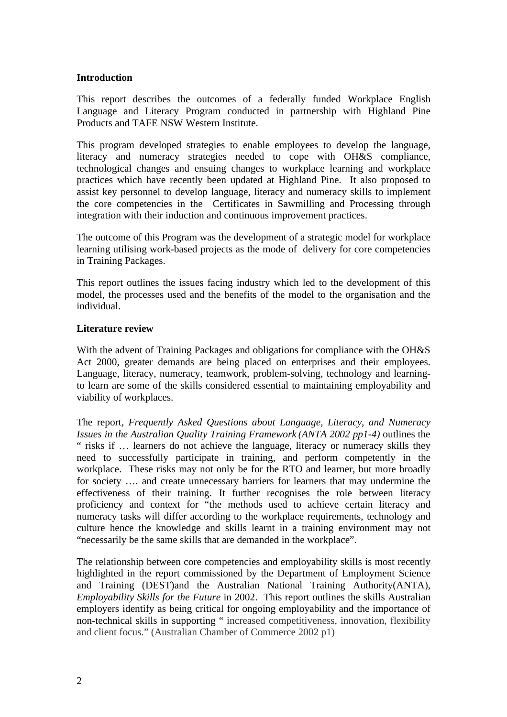# **Introduction**

This report describes the outcomes of a federally funded Workplace English Language and Literacy Program conducted in partnership with Highland Pine Products and TAFE NSW Western Institute.

This program developed strategies to enable employees to develop the language, literacy and numeracy strategies needed to cope with OH&S compliance, technological changes and ensuing changes to workplace learning and workplace practices which have recently been updated at Highland Pine. It also proposed to assist key personnel to develop language, literacy and numeracy skills to implement the core competencies in the Certificates in Sawmilling and Processing through integration with their induction and continuous improvement practices.

The outcome of this Program was the development of a strategic model for workplace learning utilising work-based projects as the mode of delivery for core competencies in Training Packages.

This report outlines the issues facing industry which led to the development of this model, the processes used and the benefits of the model to the organisation and the individual.

### **Literature review**

With the advent of Training Packages and obligations for compliance with the OH&S Act 2000, greater demands are being placed on enterprises and their employees. Language, literacy, numeracy, teamwork, problem-solving, technology and learningto learn are some of the skills considered essential to maintaining employability and viability of workplaces.

The report, *Frequently Asked Questions about Language, Literacy, and Numeracy Issues in the Australian Quality Training Framework (ANTA 2002 pp1-4)* outlines the " risks if ... learners do not achieve the language, literacy or numeracy skills they need to successfully participate in training, and perform competently in the workplace. These risks may not only be for the RTO and learner, but more broadly for society …. and create unnecessary barriers for learners that may undermine the effectiveness of their training. It further recognises the role between literacy proficiency and context for "the methods used to achieve certain literacy and numeracy tasks will differ according to the workplace requirements, technology and culture hence the knowledge and skills learnt in a training environment may not "necessarily be the same skills that are demanded in the workplace".

The relationship between core competencies and employability skills is most recently highlighted in the report commissioned by the Department of Employment Science and Training (DEST)and the Australian National Training Authority(ANTA), *Employability Skills for the Future* in 2002. This report outlines the skills Australian employers identify as being critical for ongoing employability and the importance of non-technical skills in supporting " increased competitiveness, innovation, flexibility and client focus." (Australian Chamber of Commerce 2002 p1)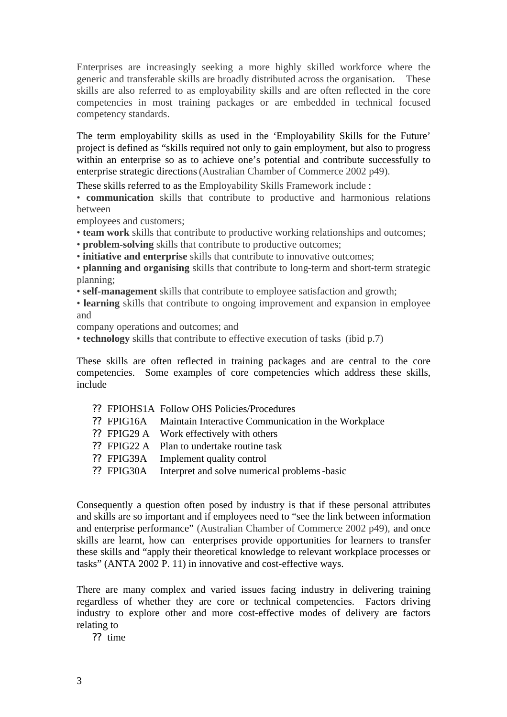Enterprises are increasingly seeking a more highly skilled workforce where the generic and transferable skills are broadly distributed across the organisation. These skills are also referred to as employability skills and are often reflected in the core competencies in most training packages or are embedded in technical focused competency standards.

The term employability skills as used in the 'Employability Skills for the Future' project is defined as "skills required not only to gain employment, but also to progress within an enterprise so as to achieve one's potential and contribute successfully to enterprise strategic directions(Australian Chamber of Commerce 2002 p49).

These skills referred to as the Employability Skills Framework include :

• **communication** skills that contribute to productive and harmonious relations between

employees and customers;

• **team work** skills that contribute to productive working relationships and outcomes;

• **problem-solving** skills that contribute to productive outcomes;

• **initiative and enterprise** skills that contribute to innovative outcomes;

• **planning and organising** skills that contribute to long-term and short-term strategic planning;

• **self-management** skills that contribute to employee satisfaction and growth;

• **learning** skills that contribute to ongoing improvement and expansion in employee and

company operations and outcomes; and

• **technology** skills that contribute to effective execution of tasks (ibid p.7)

These skills are often reflected in training packages and are central to the core competencies. Some examples of core competencies which address these skills, include

- ?? FPIOHS1A Follow OHS Policies/Procedures
- ?? FPIG16A Maintain Interactive Communication in the Workplace
- ?? FPIG29 A Work effectively with others
- ?? FPIG22 A Plan to undertake routine task
- ?? FPIG39A Implement quality control
- ?? FPIG30A Interpret and solve numerical problems-basic

Consequently a question often posed by industry is that if these personal attributes and skills are so important and if employees need to "see the link between information and enterprise performance" (Australian Chamber of Commerce 2002 p49), and once skills are learnt, how can enterprises provide opportunities for learners to transfer these skills and "apply their theoretical knowledge to relevant workplace processes or tasks" (ANTA 2002 P. 11) in innovative and cost-effective ways.

There are many complex and varied issues facing industry in delivering training regardless of whether they are core or technical competencies. Factors driving industry to explore other and more cost-effective modes of delivery are factors relating to

?? time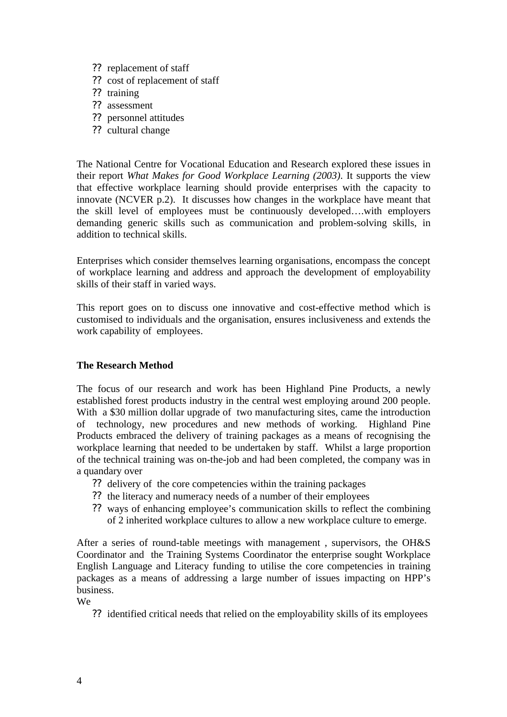- ?? replacement of staff
- ?? cost of replacement of staff
- ?? training
- ?? assessment
- ?? personnel attitudes
- ?? cultural change

The National Centre for Vocational Education and Research explored these issues in their report *What Makes for Good Workplace Learning (2003)*. It supports the view that effective workplace learning should provide enterprises with the capacity to innovate (NCVER p.2). It discusses how changes in the workplace have meant that the skill level of employees must be continuously developed….with employers demanding generic skills such as communication and problem-solving skills, in addition to technical skills.

Enterprises which consider themselves learning organisations, encompass the concept of workplace learning and address and approach the development of employability skills of their staff in varied ways.

This report goes on to discuss one innovative and cost-effective method which is customised to individuals and the organisation, ensures inclusiveness and extends the work capability of employees.

### **The Research Method**

The focus of our research and work has been Highland Pine Products, a newly established forest products industry in the central west employing around 200 people. With a \$30 million dollar upgrade of two manufacturing sites, came the introduction of technology, new procedures and new methods of working. Highland Pine Products embraced the delivery of training packages as a means of recognising the workplace learning that needed to be undertaken by staff. Whilst a large proportion of the technical training was on-the-job and had been completed, the company was in a quandary over

- ?? delivery of the core competencies within the training packages
- ?? the literacy and numeracy needs of a number of their employees
- ?? ways of enhancing employee's communication skills to reflect the combining of 2 inherited workplace cultures to allow a new workplace culture to emerge.

After a series of round-table meetings with management , supervisors, the OH&S Coordinator and the Training Systems Coordinator the enterprise sought Workplace English Language and Literacy funding to utilise the core competencies in training packages as a means of addressing a large number of issues impacting on HPP's business.

We

?? identified critical needs that relied on the employability skills of its employees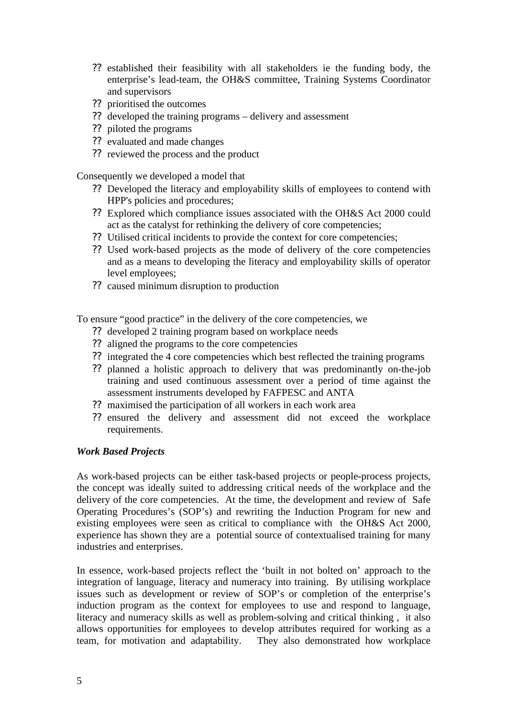- ?? established their feasibility with all stakeholders ie the funding body, the enterprise's lead-team, the OH&S committee, Training Systems Coordinator and supervisors
- ?? prioritised the outcomes
- ?? developed the training programs delivery and assessment
- ?? piloted the programs
- ?? evaluated and made changes
- ?? reviewed the process and the product

Consequently we developed a model that

- ?? Developed the literacy and employability skills of employees to contend with HPP's policies and procedures;
- ?? Explored which compliance issues associated with the OH&S Act 2000 could act as the catalyst for rethinking the delivery of core competencies;
- ?? Utilised critical incidents to provide the context for core competencies;
- ?? Used work-based projects as the mode of delivery of the core competencies and as a means to developing the literacy and employability skills of operator level employees;
- ?? caused minimum disruption to production

To ensure "good practice" in the delivery of the core competencies, we

- ?? developed 2 training program based on workplace needs
- ?? aligned the programs to the core competencies
- ?? integrated the 4 core competencies which best reflected the training programs
- ?? planned a holistic approach to delivery that was predominantly on-the-job training and used continuous assessment over a period of time against the assessment instruments developed by FAFPESC and ANTA
- ?? maximised the participation of all workers in each work area
- ?? ensured the delivery and assessment did not exceed the workplace requirements.

### *Work Based Projects*

As work-based projects can be either task-based projects or people-process projects, the concept was ideally suited to addressing critical needs of the workplace and the delivery of the core competencies. At the time, the development and review of Safe Operating Procedures's (SOP's) and rewriting the Induction Program for new and existing employees were seen as critical to compliance with the OH&S Act 2000, experience has shown they are a potential source of contextualised training for many industries and enterprises.

In essence, work-based projects reflect the 'built in not bolted on' approach to the integration of language, literacy and numeracy into training. By utilising workplace issues such as development or review of SOP's or completion of the enterprise's induction program as the context for employees to use and respond to language, literacy and numeracy skills as well as problem-solving and critical thinking , it also allows opportunities for employees to develop attributes required for working as a team, for motivation and adaptability. They also demonstrated how workplace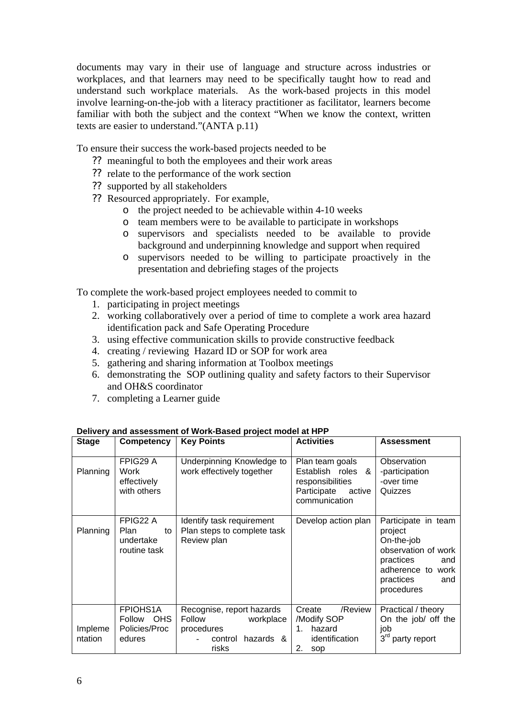documents may vary in their use of language and structure across industries or workplaces, and that learners may need to be specifically taught how to read and understand such workplace materials. As the work-based projects in this model involve learning-on-the-job with a literacy practitioner as facilitator, learners become familiar with both the subject and the context "When we know the context, written texts are easier to understand."(ANTA p.11)

To ensure their success the work-based projects needed to be

- ?? meaningful to both the employees and their work areas
- ?? relate to the performance of the work section
- ?? supported by all stakeholders
- ?? Resourced appropriately. For example,
	- o the project needed to be achievable within 4-10 weeks
	- o team members were to be available to participate in workshops
	- o supervisors and specialists needed to be available to provide background and underpinning knowledge and support when required
	- o supervisors needed to be willing to participate proactively in the presentation and debriefing stages of the projects

To complete the work-based project employees needed to commit to

- 1. participating in project meetings
- 2. working collaboratively over a period of time to complete a work area hazard identification pack and Safe Operating Procedure
- 3. using effective communication skills to provide constructive feedback
- 4. creating / reviewing Hazard ID or SOP for work area
- 5. gathering and sharing information at Toolbox meetings
- 6. demonstrating the SOP outlining quality and safety factors to their Supervisor and OH&S coordinator
- 7. completing a Learner guide

| <b>Stage</b>       | <b>Competency</b>                                           | <b>Key Points</b>                                                                               | <b>Activities</b>                                                                                  | <b>Assessment</b>                                                                                                                              |
|--------------------|-------------------------------------------------------------|-------------------------------------------------------------------------------------------------|----------------------------------------------------------------------------------------------------|------------------------------------------------------------------------------------------------------------------------------------------------|
| Planning           | FPIG29 A<br>Work<br>effectively<br>with others              | Underpinning Knowledge to<br>work effectively together                                          | Plan team goals<br>Establish roles &<br>responsibilities<br>Participate<br>active<br>communication | Observation<br>-participation<br>-over time<br>Quizzes                                                                                         |
| Planning           | FPIG22 A<br><b>Plan</b><br>to<br>undertake<br>routine task  | Identify task requirement<br>Plan steps to complete task<br>Review plan                         | Develop action plan                                                                                | Participate in team<br>project<br>On-the-job<br>observation of work<br>practices<br>and<br>adherence to work<br>practices<br>and<br>procedures |
| Impleme<br>ntation | <b>FPIOHS1A</b><br>OHS<br>Follow<br>Policies/Proc<br>edures | Recognise, report hazards<br>Follow<br>workplace<br>procedures<br>hazards &<br>control<br>risks | Create<br>/Review<br>/Modify SOP<br>hazard<br>1.<br>identification<br>2.<br>sop                    | Practical / theory<br>On the job/ off the<br>job<br>3rd party report                                                                           |

#### **Delivery and assessment of Work-Based project model at HPP**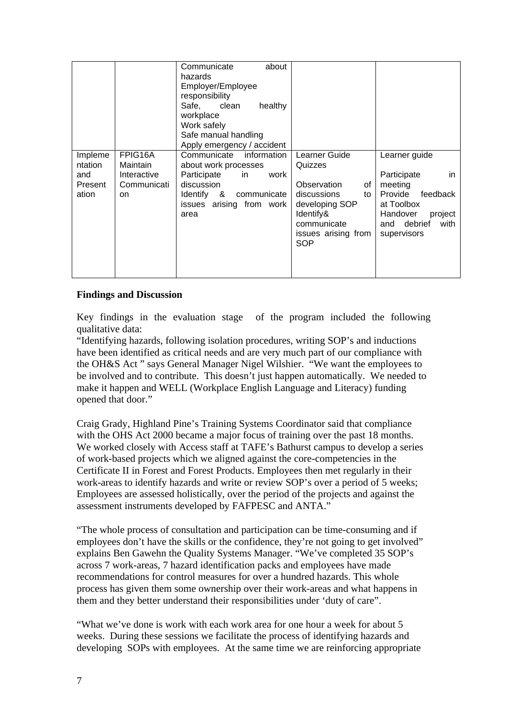|                                               |                                                         | Communicate<br>about<br>hazards<br>Employer/Employee<br>responsibility<br>Safe,<br>clean<br>healthy<br>workplace<br>Work safely<br>Safe manual handling<br>Apply emergency / accident |                                                                                                                                                |                                                                                                                                                  |
|-----------------------------------------------|---------------------------------------------------------|---------------------------------------------------------------------------------------------------------------------------------------------------------------------------------------|------------------------------------------------------------------------------------------------------------------------------------------------|--------------------------------------------------------------------------------------------------------------------------------------------------|
| Impleme<br>ntation<br>and<br>Present<br>ation | FPIG16A<br>Maintain<br>Interactive<br>Communicati<br>on | Communicate information<br>about work processes<br>Participate<br>in.<br>work<br>discussion<br>&<br>Identify<br>communicate<br>issues arising from work<br>area                       | Learner Guide<br>Quizzes<br>Observation<br>of<br>discussions<br>to<br>developing SOP<br>Identify&<br>communicate<br>issues arising from<br>SOP | Learner guide<br>Participate<br>in.<br>meeting<br>Provide<br>feedback<br>at Toolbox<br>Handover<br>project<br>and debrief<br>with<br>supervisors |

### **Findings and Discussion**

Key findings in the evaluation stage of the program included the following qualitative data:

"Identifying hazards, following isolation procedures, writing SOP's and inductions have been identified as critical needs and are very much part of our compliance with the OH&S Act " says General Manager Nigel Wilshier. "We want the employees to be involved and to contribute. This doesn't just happen automatically. We needed to make it happen and WELL (Workplace English Language and Literacy) funding opened that door."

Craig Grady, Highland Pine's Training Systems Coordinator said that compliance with the OHS Act 2000 became a major focus of training over the past 18 months. We worked closely with Access staff at TAFE's Bathurst campus to develop a series of work-based projects which we aligned against the core-competencies in the Certificate II in Forest and Forest Products. Employees then met regularly in their work-areas to identify hazards and write or review SOP's over a period of 5 weeks; Employees are assessed holistically, over the period of the projects and against the assessment instruments developed by FAFPESC and ANTA."

"The whole process of consultation and participation can be time-consuming and if employees don't have the skills or the confidence, they're not going to get involved" explains Ben Gawehn the Quality Systems Manager. "We've completed 35 SOP's across 7 work-areas, 7 hazard identification packs and employees have made recommendations for control measures for over a hundred hazards. This whole process has given them some ownership over their work-areas and what happens in them and they better understand their responsibilities under 'duty of care".

"What we've done is work with each work area for one hour a week for about 5 weeks. During these sessions we facilitate the process of identifying hazards and developing SOPs with employees. At the same time we are reinforcing appropriate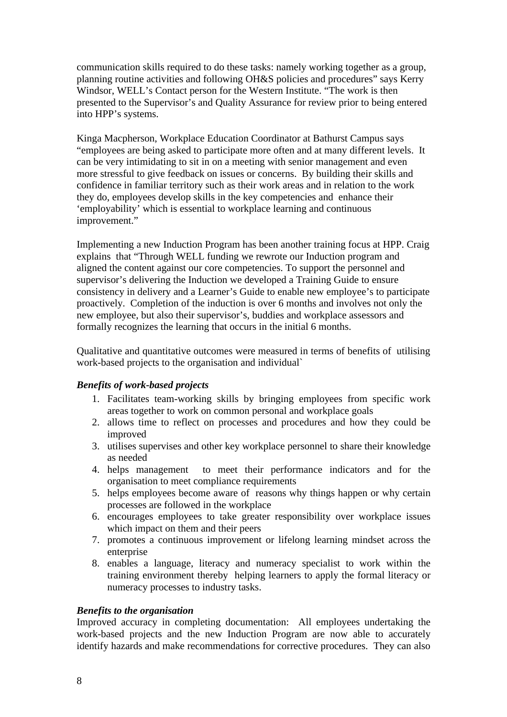communication skills required to do these tasks: namely working together as a group, planning routine activities and following OH&S policies and procedures" says Kerry Windsor, WELL's Contact person for the Western Institute. "The work is then presented to the Supervisor's and Quality Assurance for review prior to being entered into HPP's systems.

Kinga Macpherson, Workplace Education Coordinator at Bathurst Campus says "employees are being asked to participate more often and at many different levels. It can be very intimidating to sit in on a meeting with senior management and even more stressful to give feedback on issues or concerns. By building their skills and confidence in familiar territory such as their work areas and in relation to the work they do, employees develop skills in the key competencies and enhance their 'employability' which is essential to workplace learning and continuous improvement."

Implementing a new Induction Program has been another training focus at HPP. Craig explains that "Through WELL funding we rewrote our Induction program and aligned the content against our core competencies. To support the personnel and supervisor's delivering the Induction we developed a Training Guide to ensure consistency in delivery and a Learner's Guide to enable new employee's to participate proactively. Completion of the induction is over 6 months and involves not only the new employee, but also their supervisor's, buddies and workplace assessors and formally recognizes the learning that occurs in the initial 6 months.

Qualitative and quantitative outcomes were measured in terms of benefits of utilising work-based projects to the organisation and individual`

### *Benefits of work-based projects*

- 1. Facilitates team-working skills by bringing employees from specific work areas together to work on common personal and workplace goals
- 2. allows time to reflect on processes and procedures and how they could be improved
- 3. utilises supervises and other key workplace personnel to share their knowledge as needed
- 4. helps management to meet their performance indicators and for the organisation to meet compliance requirements
- 5. helps employees become aware of reasons why things happen or why certain processes are followed in the workplace
- 6. encourages employees to take greater responsibility over workplace issues which impact on them and their peers
- 7. promotes a continuous improvement or lifelong learning mindset across the enterprise
- 8. enables a language, literacy and numeracy specialist to work within the training environment thereby helping learners to apply the formal literacy or numeracy processes to industry tasks.

### *Benefits to the organisation*

Improved accuracy in completing documentation: All employees undertaking the work-based projects and the new Induction Program are now able to accurately identify hazards and make recommendations for corrective procedures. They can also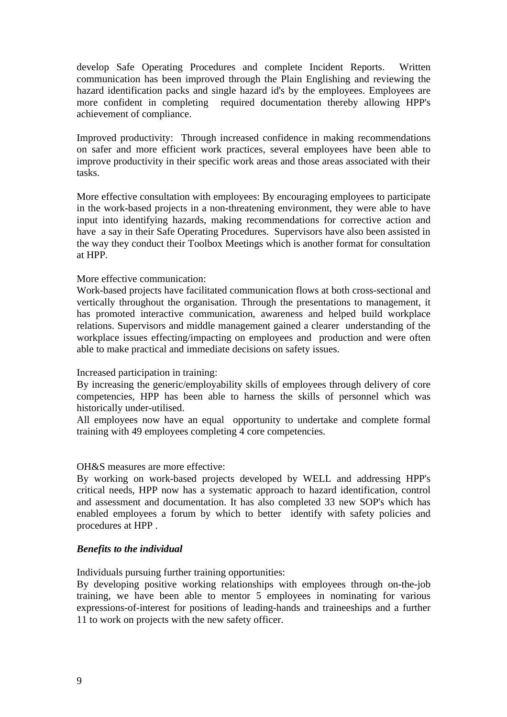develop Safe Operating Procedures and complete Incident Reports. Written communication has been improved through the Plain Englishing and reviewing the hazard identification packs and single hazard id's by the employees. Employees are more confident in completing required documentation thereby allowing HPP's achievement of compliance.

Improved productivity: Through increased confidence in making recommendations on safer and more efficient work practices, several employees have been able to improve productivity in their specific work areas and those areas associated with their tasks.

More effective consultation with employees: By encouraging employees to participate in the work-based projects in a non-threatening environment, they were able to have input into identifying hazards, making recommendations for corrective action and have a say in their Safe Operating Procedures. Supervisors have also been assisted in the way they conduct their Toolbox Meetings which is another format for consultation at HPP.

### More effective communication:

Work-based projects have facilitated communication flows at both cross-sectional and vertically throughout the organisation. Through the presentations to management, it has promoted interactive communication, awareness and helped build workplace relations. Supervisors and middle management gained a clearer understanding of the workplace issues effecting/impacting on employees and production and were often able to make practical and immediate decisions on safety issues.

#### Increased participation in training:

By increasing the generic/employability skills of employees through delivery of core competencies, HPP has been able to harness the skills of personnel which was historically under-utilised.

All employees now have an equal opportunity to undertake and complete formal training with 49 employees completing 4 core competencies.

#### OH&S measures are more effective:

By working on work-based projects developed by WELL and addressing HPP's critical needs, HPP now has a systematic approach to hazard identification, control and assessment and documentation. It has also completed 33 new SOP's which has enabled employees a forum by which to better identify with safety policies and procedures at HPP .

#### *Benefits to the individual*

Individuals pursuing further training opportunities:

By developing positive working relationships with employees through on-the-job training, we have been able to mentor 5 employees in nominating for various expressions-of-interest for positions of leading-hands and traineeships and a further 11 to work on projects with the new safety officer.